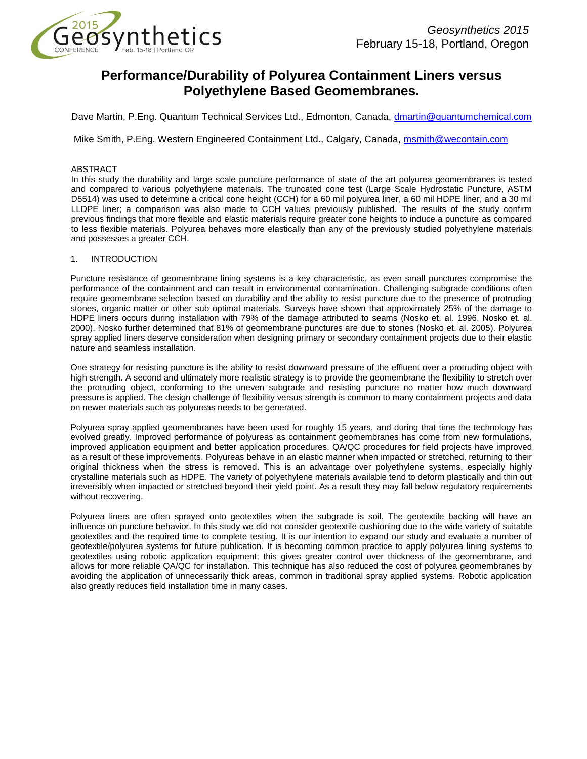

# **Performance/Durability of Polyurea Containment Liners versus Polyethylene Based Geomembranes.**

Dave Martin, P.Eng. Quantum Technical Services Ltd., Edmonton, Canada, [dmartin@quantumchemical.com](mailto:dmartin@quantumchemical.com)

Mike Smith, P.Eng. Western Engineered Containment Ltd., Calgary, Canada, [msmith@wecontain.com](mailto:msmith@wecontain.com)

#### ABSTRACT

In this study the durability and large scale puncture performance of state of the art polyurea geomembranes is tested and compared to various polyethylene materials. The truncated cone test (Large Scale Hydrostatic Puncture, ASTM D5514) was used to determine a critical cone height (CCH) for a 60 mil polyurea liner, a 60 mil HDPE liner, and a 30 mil LLDPE liner; a comparison was also made to CCH values previously published. The results of the study confirm previous findings that more flexible and elastic materials require greater cone heights to induce a puncture as compared to less flexible materials. Polyurea behaves more elastically than any of the previously studied polyethylene materials and possesses a greater CCH.

# 1. INTRODUCTION

Puncture resistance of geomembrane lining systems is a key characteristic, as even small punctures compromise the performance of the containment and can result in environmental contamination. Challenging subgrade conditions often require geomembrane selection based on durability and the ability to resist puncture due to the presence of protruding stones, organic matter or other sub optimal materials. Surveys have shown that approximately 25% of the damage to HDPE liners occurs during installation with 79% of the damage attributed to seams (Nosko et. al. 1996, Nosko et. al. 2000). Nosko further determined that 81% of geomembrane punctures are due to stones (Nosko et. al. 2005). Polyurea spray applied liners deserve consideration when designing primary or secondary containment projects due to their elastic nature and seamless installation.

One strategy for resisting puncture is the ability to resist downward pressure of the effluent over a protruding object with high strength. A second and ultimately more realistic strategy is to provide the geomembrane the flexibility to stretch over the protruding object, conforming to the uneven subgrade and resisting puncture no matter how much downward pressure is applied. The design challenge of flexibility versus strength is common to many containment projects and data on newer materials such as polyureas needs to be generated.

Polyurea spray applied geomembranes have been used for roughly 15 years, and during that time the technology has evolved greatly. Improved performance of polyureas as containment geomembranes has come from new formulations, improved application equipment and better application procedures. QA/QC procedures for field projects have improved as a result of these improvements. Polyureas behave in an elastic manner when impacted or stretched, returning to their original thickness when the stress is removed. This is an advantage over polyethylene systems, especially highly crystalline materials such as HDPE. The variety of polyethylene materials available tend to deform plastically and thin out irreversibly when impacted or stretched beyond their yield point. As a result they may fall below regulatory requirements without recovering.

Polyurea liners are often sprayed onto geotextiles when the subgrade is soil. The geotextile backing will have an influence on puncture behavior. In this study we did not consider geotextile cushioning due to the wide variety of suitable geotextiles and the required time to complete testing. It is our intention to expand our study and evaluate a number of geotextile/polyurea systems for future publication. It is becoming common practice to apply polyurea lining systems to geotextiles using robotic application equipment; this gives greater control over thickness of the geomembrane, and allows for more reliable QA/QC for installation. This technique has also reduced the cost of polyurea geomembranes by avoiding the application of unnecessarily thick areas, common in traditional spray applied systems. Robotic application also greatly reduces field installation time in many cases.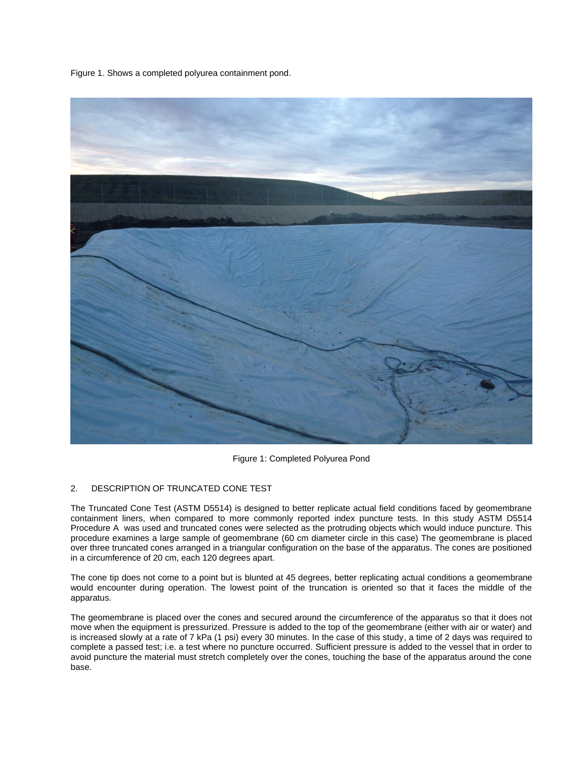Figure 1. Shows a completed polyurea containment pond.



Figure 1: Completed Polyurea Pond

## 2. DESCRIPTION OF TRUNCATED CONE TEST

The Truncated Cone Test (ASTM D5514) is designed to better replicate actual field conditions faced by geomembrane containment liners, when compared to more commonly reported index puncture tests. In this study ASTM D5514 Procedure A was used and truncated cones were selected as the protruding objects which would induce puncture. This procedure examines a large sample of geomembrane (60 cm diameter circle in this case) The geomembrane is placed over three truncated cones arranged in a triangular configuration on the base of the apparatus. The cones are positioned in a circumference of 20 cm, each 120 degrees apart.

The cone tip does not come to a point but is blunted at 45 degrees, better replicating actual conditions a geomembrane would encounter during operation. The lowest point of the truncation is oriented so that it faces the middle of the apparatus.

The geomembrane is placed over the cones and secured around the circumference of the apparatus so that it does not move when the equipment is pressurized. Pressure is added to the top of the geomembrane (either with air or water) and is increased slowly at a rate of 7 kPa (1 psi) every 30 minutes. In the case of this study, a time of 2 days was required to complete a passed test; i.e. a test where no puncture occurred. Sufficient pressure is added to the vessel that in order to avoid puncture the material must stretch completely over the cones, touching the base of the apparatus around the cone base.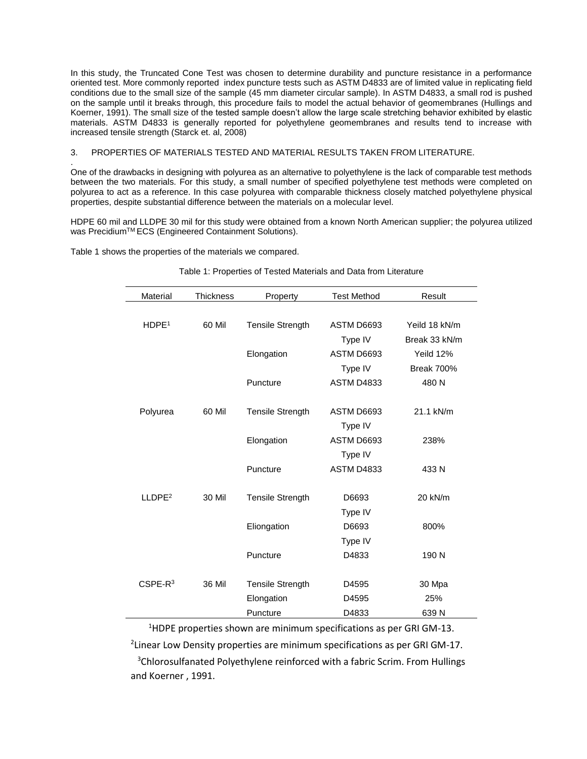In this study, the Truncated Cone Test was chosen to determine durability and puncture resistance in a performance oriented test. More commonly reported index puncture tests such as ASTM D4833 are of limited value in replicating field conditions due to the small size of the sample (45 mm diameter circular sample). In ASTM D4833, a small rod is pushed on the sample until it breaks through, this procedure fails to model the actual behavior of geomembranes (Hullings and Koerner, 1991). The small size of the tested sample doesn't allow the large scale stretching behavior exhibited by elastic materials. ASTM D4833 is generally reported for polyethylene geomembranes and results tend to increase with increased tensile strength (Starck et. al, 2008)

## 3. PROPERTIES OF MATERIALS TESTED AND MATERIAL RESULTS TAKEN FROM LITERATURE.

. One of the drawbacks in designing with polyurea as an alternative to polyethylene is the lack of comparable test methods between the two materials. For this study, a small number of specified polyethylene test methods were completed on polyurea to act as a reference. In this case polyurea with comparable thickness closely matched polyethylene physical properties, despite substantial difference between the materials on a molecular level.

HDPE 60 mil and LLDPE 30 mil for this study were obtained from a known North American supplier; the polyurea utilized was Precidium™ ECS (Engineered Containment Solutions).

Table 1 shows the properties of the materials we compared.

# Table 1: Properties of Tested Materials and Data from Literature

| Material           | <b>Thickness</b> | Property                | <b>Test Method</b> | Result            |
|--------------------|------------------|-------------------------|--------------------|-------------------|
|                    |                  |                         |                    |                   |
| HDPE <sup>1</sup>  | 60 Mil           | <b>Tensile Strength</b> | ASTM D6693         | Yeild 18 kN/m     |
|                    |                  |                         | Type IV            | Break 33 kN/m     |
|                    |                  | Elongation              | ASTM D6693         | Yeild 12%         |
|                    |                  |                         | Type IV            | <b>Break 700%</b> |
|                    |                  | Puncture                | <b>ASTM D4833</b>  | 480N              |
|                    |                  |                         |                    |                   |
| Polyurea           | 60 Mil           | <b>Tensile Strength</b> | ASTM D6693         | 21.1 kN/m         |
|                    |                  |                         | Type IV            |                   |
|                    |                  | Elongation              | ASTM D6693         | 238%              |
|                    |                  |                         | Type IV            |                   |
|                    |                  | Puncture                | <b>ASTM D4833</b>  | 433 N             |
|                    |                  |                         |                    |                   |
| LLDPE <sup>2</sup> | <b>30 Mil</b>    | <b>Tensile Strength</b> | D6693              | 20 kN/m           |
|                    |                  |                         | Type IV            |                   |
|                    |                  | Eliongation             | D6693              | 800%              |
|                    |                  |                         | Type IV            |                   |
|                    |                  | Puncture                | D4833              | 190 N             |
|                    |                  |                         |                    |                   |
| $CSPE-R3$          | 36 Mil           | Tensile Strength        | D4595              | 30 Mpa            |
|                    |                  | Elongation              | D4595              | 25%               |
|                    |                  | Puncture                | D4833              | 639N              |

<sup>1</sup>HDPE properties shown are minimum specifications as per GRI GM-13. <sup>2</sup> Linear Low Density properties are minimum specifications as per GRI GM-17. <sup>3</sup>Chlorosulfanated Polyethylene reinforced with a fabric Scrim. From Hullings and Koerner , 1991.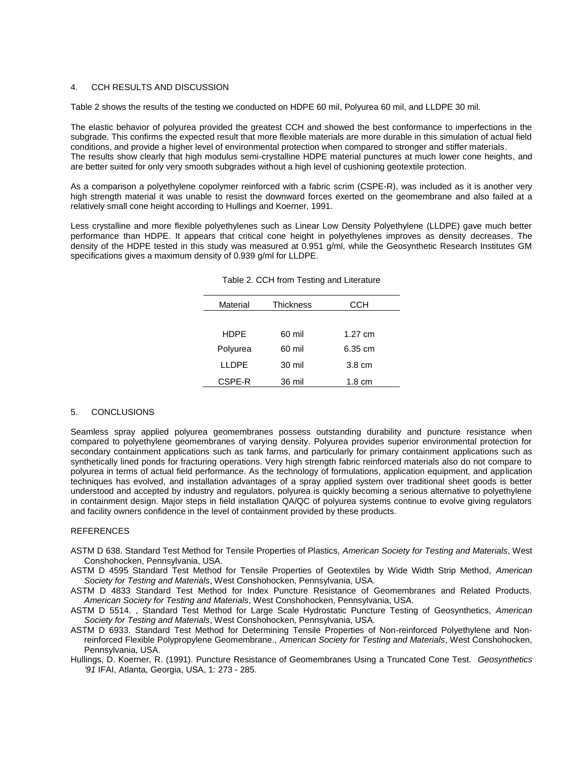### 4. CCH RESULTS AND DISCUSSION

Table 2 shows the results of the testing we conducted on HDPE 60 mil, Polyurea 60 mil, and LLDPE 30 mil.

The elastic behavior of polyurea provided the greatest CCH and showed the best conformance to imperfections in the subgrade. This confirms the expected result that more flexible materials are more durable in this simulation of actual field conditions, and provide a higher level of environmental protection when compared to stronger and stiffer materials. The results show clearly that high modulus semi-crystalline HDPE material punctures at much lower cone heights, and are better suited for only very smooth subgrades without a high level of cushioning geotextile protection.

As a comparison a polyethylene copolymer reinforced with a fabric scrim (CSPE-R), was included as it is another very high strength material it was unable to resist the downward forces exerted on the geomembrane and also failed at a relatively small cone height according to Hullings and Koerner, 1991.

Less crystalline and more flexible polyethylenes such as Linear Low Density Polyethylene (LLDPE) gave much better performance than HDPE. It appears that critical cone height in polyethylenes improves as density decreases. The density of the HDPE tested in this study was measured at 0.951 g/ml, while the Geosynthetic Research Institutes GM specifications gives a maximum density of 0.939 g/ml for LLDPE.

| Material     | <b>Thickness</b> | ССН               |
|--------------|------------------|-------------------|
|              |                  |                   |
| <b>HDPE</b>  | 60 mil           | $1.27 \text{ cm}$ |
| Polyurea     | 60 mil           | 6.35 cm           |
| <b>LLDPE</b> | 30 mil           | $3.8 \text{ cm}$  |
| CSPE-R       | 36 mil           | $1.8 \text{ cm}$  |

#### 5. CONCLUSIONS

Seamless spray applied polyurea geomembranes possess outstanding durability and puncture resistance when compared to polyethylene geomembranes of varying density. Polyurea provides superior environmental protection for secondary containment applications such as tank farms, and particularly for primary containment applications such as synthetically lined ponds for fracturing operations. Very high strength fabric reinforced materials also do not compare to polyurea in terms of actual field performance. As the technology of formulations, application equipment, and application techniques has evolved, and installation advantages of a spray applied system over traditional sheet goods is better understood and accepted by industry and regulators, polyurea is quickly becoming a serious alternative to polyethylene in containment design. Major steps in field installation QA/QC of polyurea systems continue to evolve giving regulators and facility owners confidence in the level of containment provided by these products.

#### REFERENCES

- ASTM D 638. Standard Test Method for Tensile Properties of Plastics, *American Society for Testing and Materials*, West Conshohocken, Pennsylvania, USA.
- ASTM D 4595 Standard Test Method for Tensile Properties of Geotextiles by Wide Width Strip Method, *American Society for Testing and Materials*, West Conshohocken, Pennsylvania, USA.
- ASTM D 4833 Standard Test Method for Index Puncture Resistance of Geomembranes and Related Products. *American Society for Testing and Materials*, West Conshohocken, Pennsylvania, USA.
- ASTM D 5514. , Standard Test Method for Large Scale Hydrostatic Puncture Testing of Geosynthetics, *American Society for Testing and Materials*, West Conshohocken, Pennsylvania, USA.
- ASTM D 6933. Standard Test Method for Determining Tensile Properties of Non-reinforced Polyethylene and Nonreinforced Flexible Polypropylene Geomembrane., *American Society for Testing and Materials*, West Conshohocken, Pennsylvania, USA.
- Hullings, D. Koerner, R. (1991). Puncture Resistance of Geomembranes Using a Truncated Cone Test. *Geosynthetics '91* IFAI, Atlanta, Georgia, USA, 1: 273 - 285.